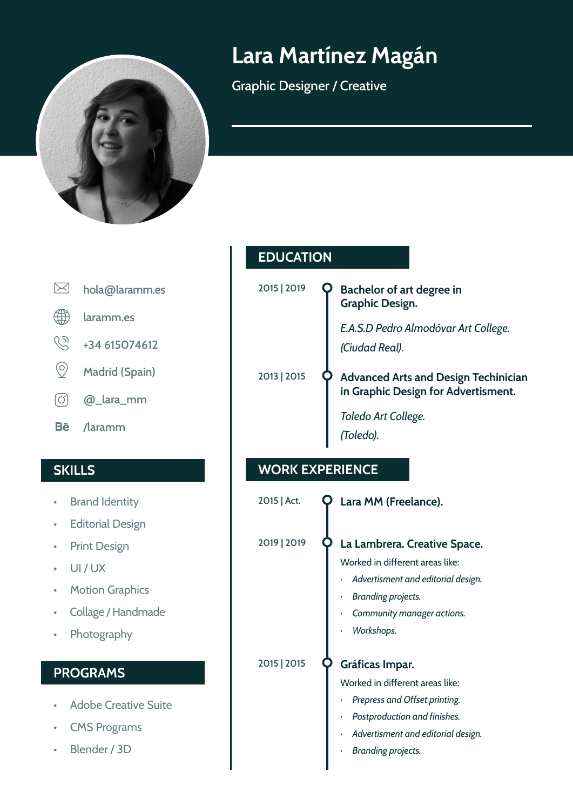

# **Lara Martínez Magán**

Graphic Designer / Creative

 $\boxtimes$ **hola@laramm.es** 4 **laramm.es**  $\mathcal{C}$ **+34 615074612**  $\circledcirc$ **Madrid (Spain)**  $\lceil$ O $\rceil$ **@\_lara\_mm Bē /laramm**

- Brand Identity
- Editorial Design
- Print Design
- UI / UX
- Motion Graphics
- Collage / Handmade
- Photography

### **PROGRAMS**

- Adobe Creative Suite
- **CMS Programs**
- Blender / 3D

|  | <b>EDUCATION</b> |  |  |
|--|------------------|--|--|
|  |                  |  |  |

| 2015   2019 | Bachelor of art degree in<br><b>Graphic Design.</b>                                |
|-------------|------------------------------------------------------------------------------------|
|             | E.A.S.D Pedro Almodóvar Art College.<br>(Ciudad Real).                             |
| 2013   2015 | <b>Advanced Arts and Design Techinician</b><br>in Graphic Design for Advertisment. |
|             | Toledo Art College.<br>(Toledo).                                                   |

### **SKILLS WORK EXPERIENCE**

| 2015   Act. | Lara MM (Freelance).                                                                                                                                                                        |
|-------------|---------------------------------------------------------------------------------------------------------------------------------------------------------------------------------------------|
| 2019   2019 | La Lambrera. Creative Space.<br>Worked in different areas like:<br>Advertisment and editorial design.<br>Branding projects.<br>ł<br>Community manager actions.<br>Workshops.                |
| 2015   2015 | Gráficas Impar.<br>Worked in different areas like:<br>Prepress and Offset printing.<br>ł<br>Postproduction and finishes.<br>Advertisment and editorial design.<br><b>Branding projects.</b> |